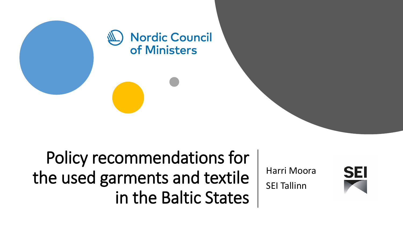

Policy recommendations for the used garments and textile in the Baltic States

Harri Moora

SEI Tallinn

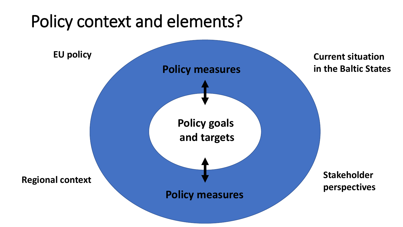## Policy context and elements?

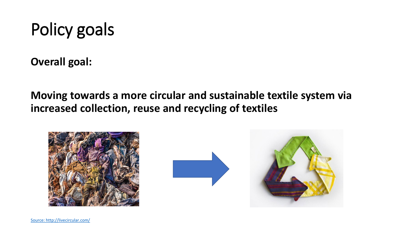# Policy goals

**Overall goal:**

**Moving towards a more circular and sustainable textile system via increased collection, reuse and recycling of textiles**



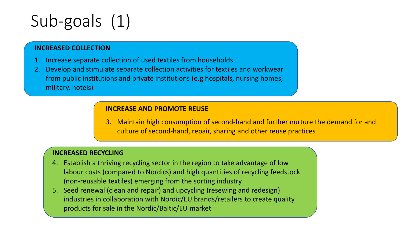# Sub-goals (1)

### **INCREASED COLLECTION**

- 1. Increase separate collection of used textiles from households
- 2. Develop and stimulate separate collection activities for textiles and workwear from public institutions and private institutions (e.g hospitals, nursing homes, military, hotels)

### **INCREASE AND PROMOTE REUSE**

3. Maintain high consumption of second-hand and further nurture the demand for and culture of second-hand, repair, sharing and other reuse practices

### **INCREASED RECYCLING**

- 4. Establish a thriving recycling sector in the region to take advantage of low labour costs (compared to Nordics) and high quantities of recycling feedstock (non-reusable textiles) emerging from the sorting industry
- 5. Seed renewal (clean and repair) and upcycling (resewing and redesign) industries in collaboration with Nordic/EU brands/retailers to create quality products for sale in the Nordic/Baltic/EU market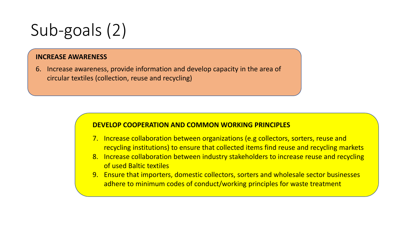# Sub-goals (2)

#### **INCREASE AWARENESS**

6. Increase awareness, provide information and develop capacity in the area of circular textiles (collection, reuse and recycling)

#### **DEVELOP COOPERATION AND COMMON WORKING PRINCIPLES**

- 7. Increase collaboration between organizations (e.g collectors, sorters, reuse and recycling institutions) to ensure that collected items find reuse and recycling markets
- 8. Increase collaboration between industry stakeholders to increase reuse and recycling of used Baltic textiles
- 9. Ensure that importers, domestic collectors, sorters and wholesale sector businesses adhere to minimum codes of conduct/working principles for waste treatment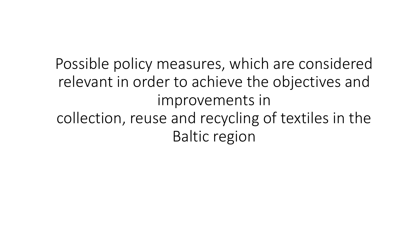Possible policy measures, which are considered relevant in order to achieve the objectives and improvements in collection, reuse and recycling of textiles in the Baltic region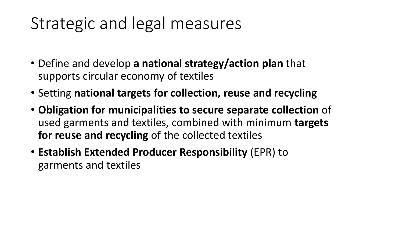## Strategic and legal measures

- Define and develop **a national strategy/action plan** that supports circular economy of textiles
- Setting **national targets for collection, reuse and recycling**
- **Obligation for municipalities to secure separate collection** of used garments and textiles, combined with minimum **targets for reuse and recycling** of the collected textiles
- **Establish Extended Producer Responsibility** (EPR) to garments and textiles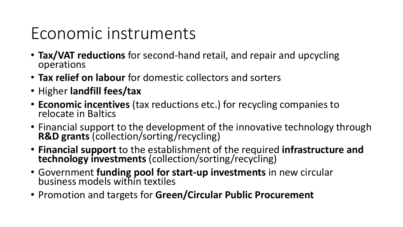## Economic instruments

- **Tax/VAT reductions** for second-hand retail, and repair and upcycling operations
- **Tax relief on labour** for domestic collectors and sorters
- Higher **landfill fees/tax**
- **Economic incentives** (tax reductions etc.) for recycling companies to relocate in Baltics
- Financial support to the development of the innovative technology through **R&D grants** (collection/sorting/recycling)
- **Financial support** to the establishment of the required **infrastructure and technology investments** (collection/sorting/recycling)
- Government **funding pool for start-up investments** in new circular business models within textiles
- Promotion and targets for **Green/Circular Public Procurement**